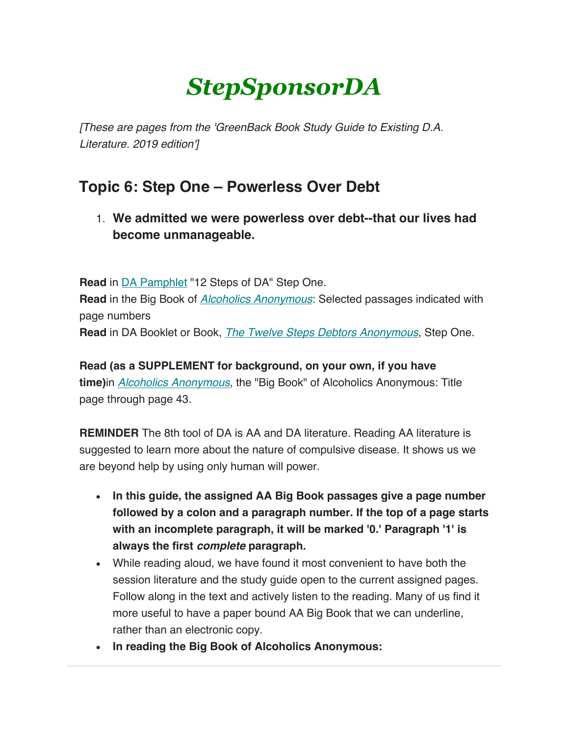# *StepSponsorDA*

*[These are pages from the 'GreenBack Book Study Guide to Existing D.A. Literature. 2019 edition']*

# **Topic 6: Step One – Powerless Over Debt**

1. **We admitted we were powerless over debt--that our lives had become unmanageable.**

**Read** in DA Pamphlet "12 Steps of DA" Step One. **Read** in the Big Book of *Alcoholics Anonymous*: Selected passages indicated with page numbers **Read** in DA Booklet or Book, *The Twelve Steps Debtors Anonymous*, Step One.

**Read (as a SUPPLEMENT for background, on your own, if you have time)**in *Alcoholics Anonymous*, the "Big Book" of Alcoholics Anonymous: Title page through page 43.

**REMINDER** The 8th tool of DA is AA and DA literature. Reading AA literature is suggested to learn more about the nature of compulsive disease. It shows us we are beyond help by using only human will power.

- **In this guide, the assigned AA Big Book passages give a page number followed by a colon and a paragraph number. If the top of a page starts with an incomplete paragraph, it will be marked '0.' Paragraph '1' is always the first** *complete* **paragraph.**
- While reading aloud, we have found it most convenient to have both the session literature and the study guide open to the current assigned pages. Follow along in the text and actively listen to the reading. Many of us find it more useful to have a paper bound AA Big Book that we can underline, rather than an electronic copy.
- **In reading the Big Book of Alcoholics Anonymous:**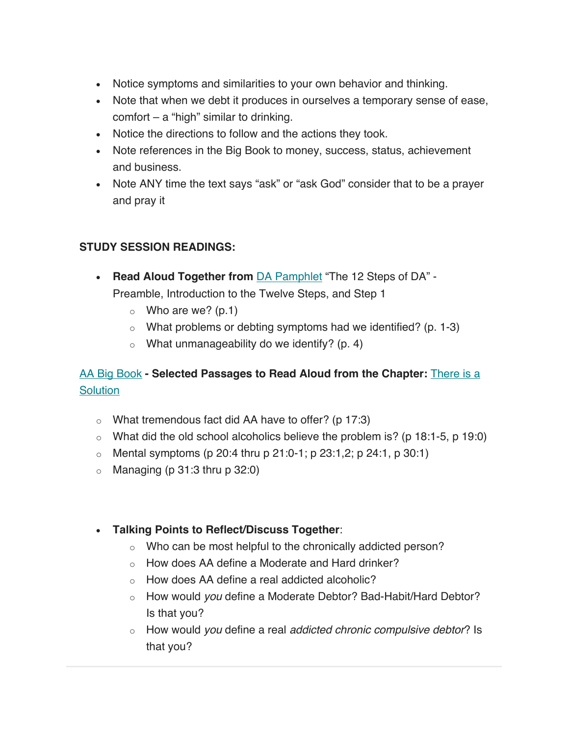- Notice symptoms and similarities to your own behavior and thinking.
- Note that when we debt it produces in ourselves a temporary sense of ease,  $comfort - a$  "high" similar to drinking.
- Notice the directions to follow and the actions they took.
- Note references in the Big Book to money, success, status, achievement and business.
- Note ANY time the text says "ask" or "ask God" consider that to be a prayer and pray it

## **STUDY SESSION READINGS:**

- **Read Aloud Together from** DA Pamphlet "The 12 Steps of DA" Preamble, Introduction to the Twelve Steps, and Step 1
	- $\circ$  Who are we? (p.1)
	- $\circ$  What problems or debting symptoms had we identified? (p. 1-3)
	- $\circ$  What unmanageability do we identify? (p. 4)

# AA Big Book **- Selected Passages to Read Aloud from the Chapter:** There is a **Solution**

- $\circ$  What tremendous fact did AA have to offer? (p 17:3)
- $\circ$  What did the old school alcoholics believe the problem is? (p 18:1-5, p 19:0)
- o Mental symptoms (p 20:4 thru p 21:0-1; p 23:1,2; p 24:1, p 30:1)
- $\circ$  Managing (p 31:3 thru p 32:0)

### • **Talking Points to Reflect/Discuss Together**:

- o Who can be most helpful to the chronically addicted person?
- o How does AA define a Moderate and Hard drinker?
- o How does AA define a real addicted alcoholic?
- o How would *you* define a Moderate Debtor? Bad-Habit/Hard Debtor? Is that you?
- o How would *you* define a real *addicted chronic compulsive debtor*? Is that you?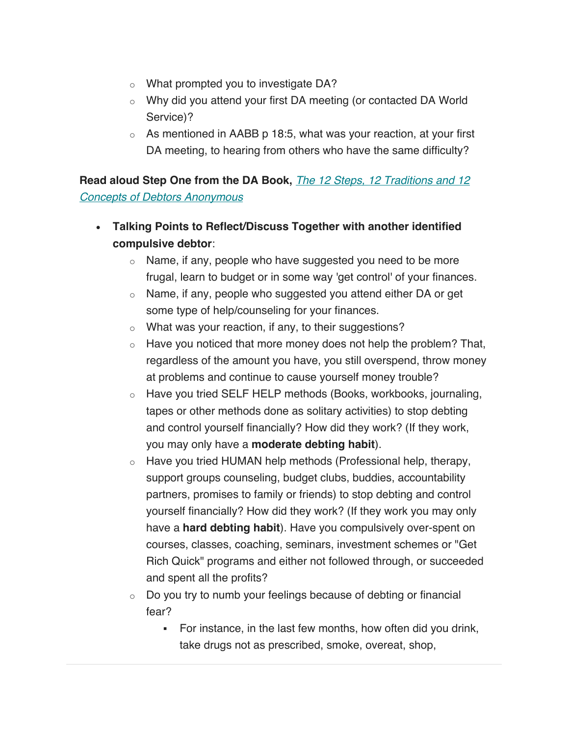- o What prompted you to investigate DA?
- o Why did you attend your first DA meeting (or contacted DA World Service)?
- $\circ$  As mentioned in AABB p 18:5, what was your reaction, at your first DA meeting, to hearing from others who have the same difficulty?

**Read aloud Step One from the DA Book,** *The 12 Steps, 12 Traditions and 12 Concepts of Debtors Anonymous*

- **Talking Points to Reflect/Discuss Together with another identified compulsive debtor**:
	- o Name, if any, people who have suggested you need to be more frugal, learn to budget or in some way 'get control' of your finances.
	- o Name, if any, people who suggested you attend either DA or get some type of help/counseling for your finances.
	- o What was your reaction, if any, to their suggestions?
	- $\circ$  Have you noticed that more money does not help the problem? That, regardless of the amount you have, you still overspend, throw money at problems and continue to cause yourself money trouble?
	- o Have you tried SELF HELP methods (Books, workbooks, journaling, tapes or other methods done as solitary activities) to stop debting and control yourself financially? How did they work? (If they work, you may only have a **moderate debting habit**).
	- o Have you tried HUMAN help methods (Professional help, therapy, support groups counseling, budget clubs, buddies, accountability partners, promises to family or friends) to stop debting and control yourself financially? How did they work? (If they work you may only have a **hard debting habit**). Have you compulsively over-spent on courses, classes, coaching, seminars, investment schemes or "Get Rich Quick" programs and either not followed through, or succeeded and spent all the profits?
	- o Do you try to numb your feelings because of debting or financial fear?
		- For instance, in the last few months, how often did you drink, take drugs not as prescribed, smoke, overeat, shop,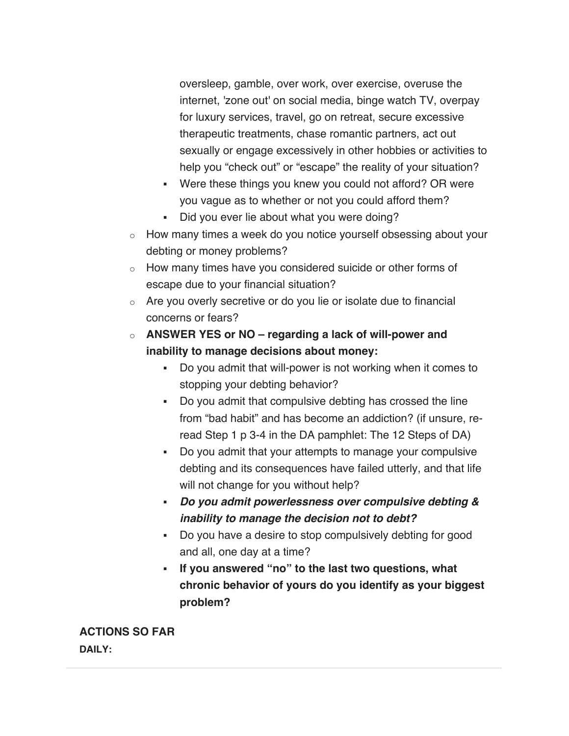oversleep, gamble, over work, over exercise, overuse the internet, 'zone out' on social media, binge watch TV, overpay for luxury services, travel, go on retreat, secure excessive therapeutic treatments, chase romantic partners, act out sexually or engage excessively in other hobbies or activities to help you "check out" or "escape" the reality of your situation?

- Were these things you knew you could not afford? OR were you vague as to whether or not you could afford them?
- Did you ever lie about what you were doing?
- o How many times a week do you notice yourself obsessing about your debting or money problems?
- o How many times have you considered suicide or other forms of escape due to your financial situation?
- o Are you overly secretive or do you lie or isolate due to financial concerns or fears?
- o **ANSWER YES or NO – regarding a lack of will-power and inability to manage decisions about money:**
	- Do you admit that will-power is not working when it comes to stopping your debting behavior?
	- § Do you admit that compulsive debting has crossed the line from "bad habit" and has become an addiction? (if unsure, reread Step 1 p 3-4 in the DA pamphlet: The 12 Steps of DA)
	- § Do you admit that your attempts to manage your compulsive debting and its consequences have failed utterly, and that life will not change for you without help?
	- § *Do you admit powerlessness over compulsive debting & inability to manage the decision not to debt?*
	- Do you have a desire to stop compulsively debting for good and all, one day at a time?
	- § **If you answered "no" to the last two questions, what chronic behavior of yours do you identify as your biggest problem?**

**ACTIONS SO FAR DAILY:**